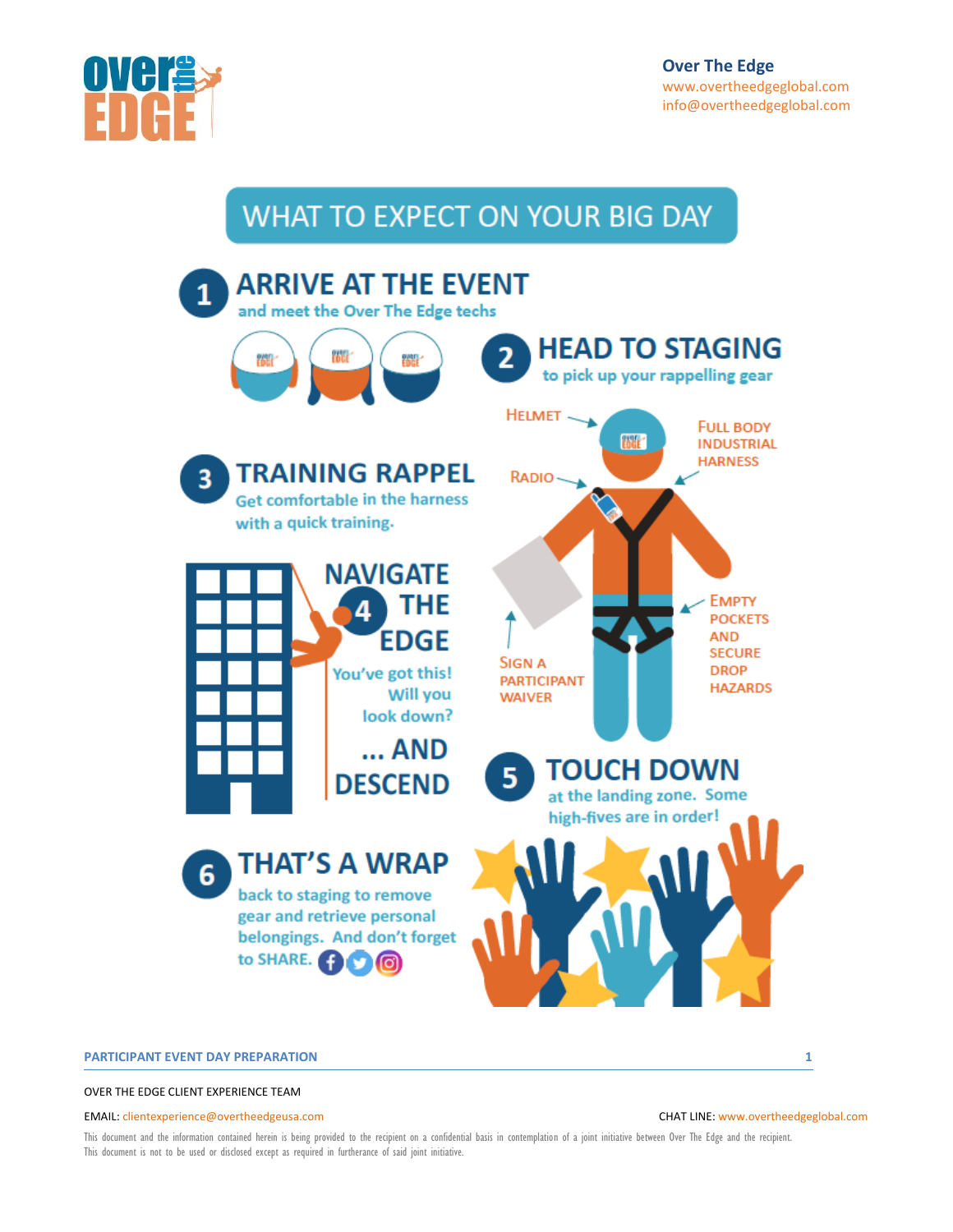

# WHAT TO EXPECT ON YOUR BIG DAY



#### **PARTICIPANT EVENT DAY PREPARATION 1**

OVER THE EDGE CLIENT EXPERIENCE TEAM

#### EMAIL[: clientexperience@overtheedgeusa.com](mailto:clientservices@overtheedgeusa.com) CHAT LINE[: www.overtheedgeglobal.com](http://www.overtheedgeglobal.com/)

This document and the information contained herein is being provided to the recipient on a confidential basis in contemplation of a joint initiative between Over The Edge and the recipient. This document is not to be used or disclosed except as required in furtherance of said joint initiative.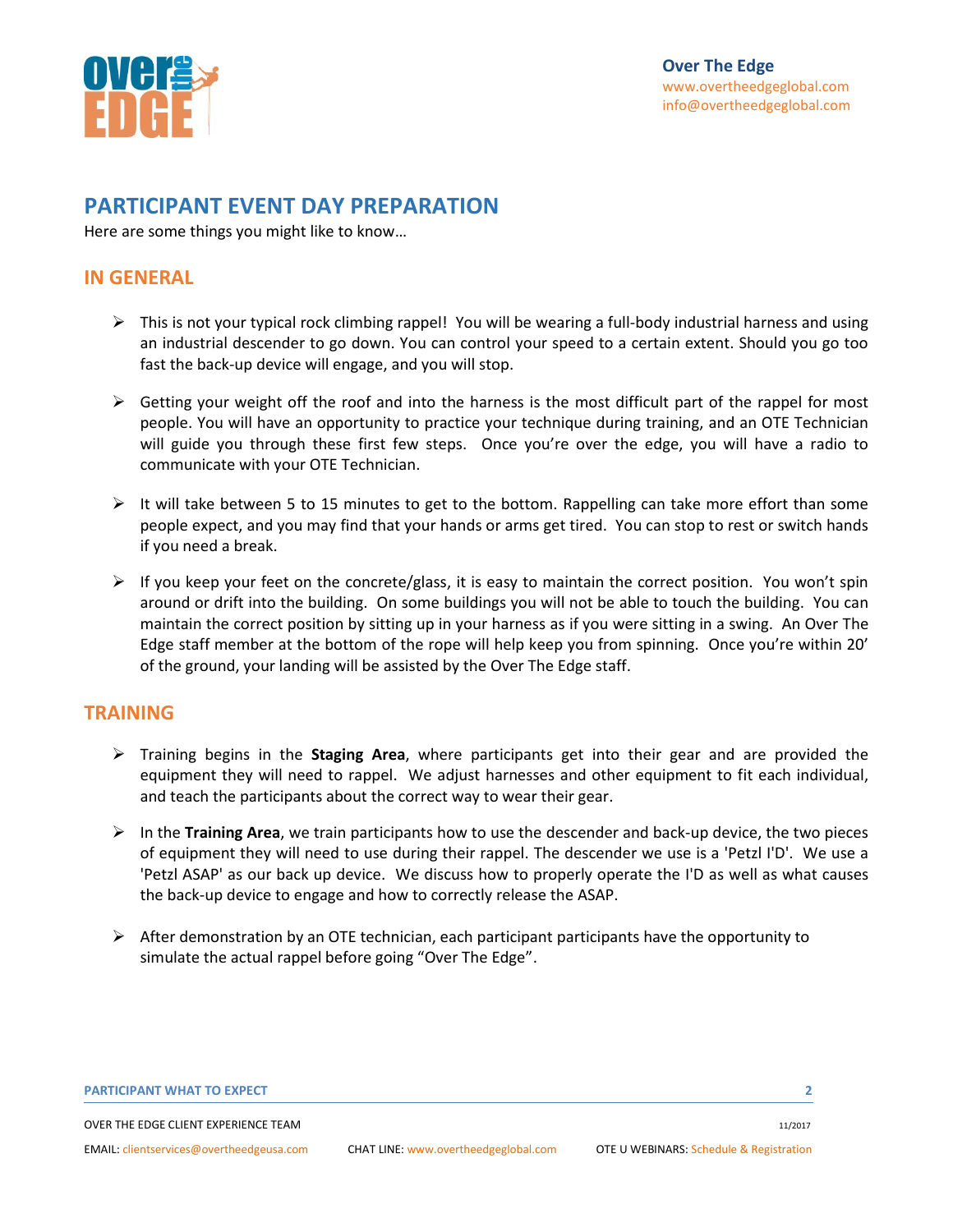

## **PARTICIPANT EVENT DAY PREPARATION**

Here are some things you might like to know…

### **IN GENERAL**

- $\triangleright$  This is not your typical rock climbing rappel! You will be wearing a full-body industrial harness and using an industrial descender to go down. You can control your speed to a certain extent. Should you go too fast the back-up device will engage, and you will stop.
- $\triangleright$  Getting your weight off the roof and into the harness is the most difficult part of the rappel for most people. You will have an opportunity to practice your technique during training, and an OTE Technician will guide you through these first few steps. Once you're over the edge, you will have a radio to communicate with your OTE Technician.
- $\triangleright$  It will take between 5 to 15 minutes to get to the bottom. Rappelling can take more effort than some people expect, and you may find that your hands or arms get tired. You can stop to rest or switch hands if you need a break.
- $\triangleright$  If you keep your feet on the concrete/glass, it is easy to maintain the correct position. You won't spin around or drift into the building. On some buildings you will not be able to touch the building. You can maintain the correct position by sitting up in your harness as if you were sitting in a swing. An Over The Edge staff member at the bottom of the rope will help keep you from spinning. Once you're within 20' of the ground, your landing will be assisted by the Over The Edge staff.

### **TRAINING**

- ➢ Training begins in the **Staging Area**, where participants get into their gear and are provided the equipment they will need to rappel. We adjust harnesses and other equipment to fit each individual, and teach the participants about the correct way to wear their gear.
- ➢ In the **Training Area**, we train participants how to use the descender and back-up device, the two pieces of equipment they will need to use during their rappel. The descender we use is a 'Petzl I'D'. We use a 'Petzl ASAP' as our back up device. We discuss how to properly operate the I'D as well as what causes the back-up device to engage and how to correctly release the ASAP.
- $\triangleright$  After demonstration by an OTE technician, each participant participants have the opportunity to simulate the actual rappel before going "Over The Edge".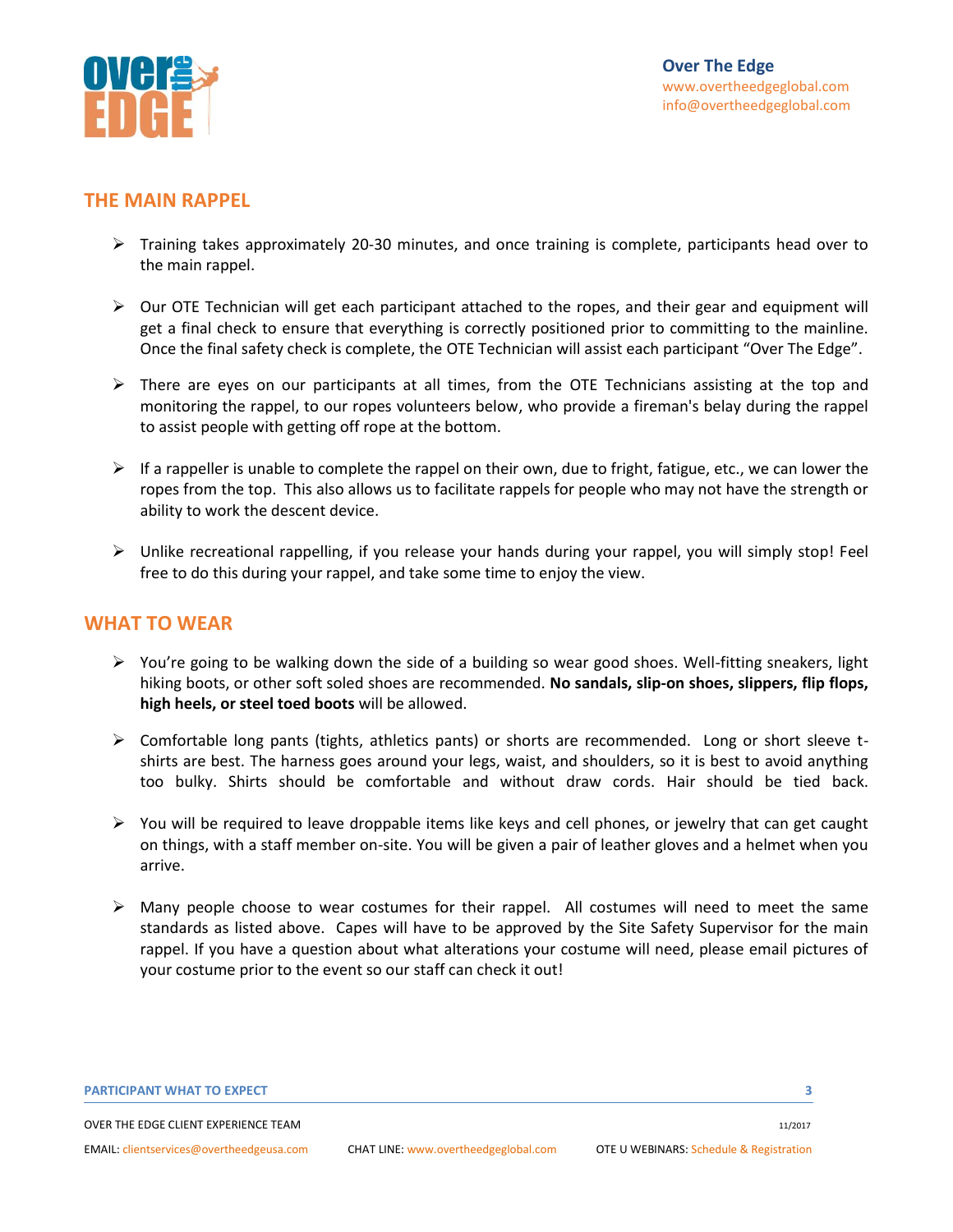

### **THE MAIN RAPPEL**

- ➢ Training takes approximately 20-30 minutes, and once training is complete, participants head over to the main rappel.
- $\triangleright$  Our OTE Technician will get each participant attached to the ropes, and their gear and equipment will get a final check to ensure that everything is correctly positioned prior to committing to the mainline. Once the final safety check is complete, the OTE Technician will assist each participant "Over The Edge".
- $\triangleright$  There are eyes on our participants at all times, from the OTE Technicians assisting at the top and monitoring the rappel, to our ropes volunteers below, who provide a fireman's belay during the rappel to assist people with getting off rope at the bottom.
- $\triangleright$  If a rappeller is unable to complete the rappel on their own, due to fright, fatigue, etc., we can lower the ropes from the top. This also allows us to facilitate rappels for people who may not have the strength or ability to work the descent device.
- ➢ Unlike recreational rappelling, if you release your hands during your rappel, you will simply stop! Feel free to do this during your rappel, and take some time to enjoy the view.

#### **WHAT TO WEAR**

- $\triangleright$  You're going to be walking down the side of a building so wear good shoes. Well-fitting sneakers, light hiking boots, or other soft soled shoes are recommended. **No sandals, slip-on shoes, slippers, flip flops, high heels, or steel toed boots** will be allowed.
- $\triangleright$  Comfortable long pants (tights, athletics pants) or shorts are recommended. Long or short sleeve tshirts are best. The harness goes around your legs, waist, and shoulders, so it is best to avoid anything too bulky. Shirts should be comfortable and without draw cords. Hair should be tied back.
- $\triangleright$  You will be required to leave droppable items like keys and cell phones, or jewelry that can get caught on things, with a staff member on-site. You will be given a pair of leather gloves and a helmet when you arrive.
- $\triangleright$  Many people choose to wear costumes for their rappel. All costumes will need to meet the same standards as listed above. Capes will have to be approved by the Site Safety Supervisor for the main rappel. If you have a question about what alterations your costume will need, please email pictures of your costume prior to the event so our staff can check it out!